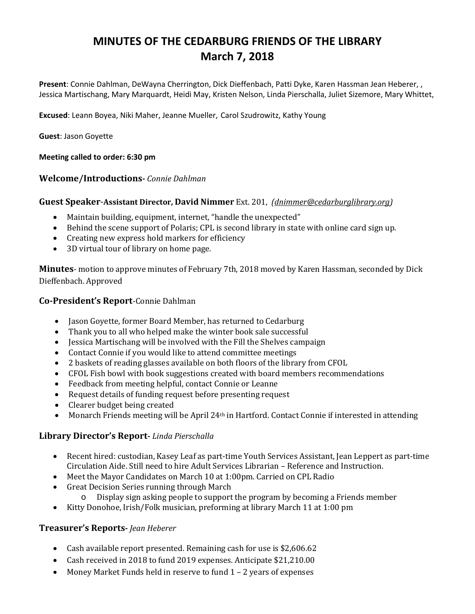# **MINUTES OF THE CEDARBURG FRIENDS OF THE LIBRARY March 7, 2018**

**Present**: Connie Dahlman, DeWayna Cherrington, Dick Dieffenbach, Patti Dyke, Karen Hassman Jean Heberer, , Jessica Martischang, Mary Marquardt, Heidi May, Kristen Nelson, Linda Pierschalla, Juliet Sizemore, Mary Whittet,

**Excused**: Leann Boyea, Niki Maher, Jeanne Mueller, Carol Szudrowitz, Kathy Young

**Guest**: Jason Goyette

### **Meeting called to order: 6:30 pm**

# **Welcome/Introductions-** *Connie Dahlman*

### **Guest Speaker**-**Assistant Director, David Nimmer** Ext. 201, *[\(dnimmer@cedarburglibrary.org\)](mailto:dnimmer@cedarburglibrary.org)*

- Maintain building, equipment, internet, "handle the unexpected"
- Behind the scene support of Polaris; CPL is second library in state with online card sign up.
- Creating new express hold markers for efficiency<br>• 3D virtual tour of library on home nage.
- 3D virtual tour of library on home page.

**Minutes**- motion to approve minutes of February 7th, 2018 moved by Karen Hassman, seconded by Dick Dieffenbach. Approved

### **Co-President's Report**-Connie Dahlman

- Jason Goyette, former Board Member, has returned to Cedarburg
- Thank you to all who helped make the winter book sale successful
- Jessica Martischang will be involved with the Fill the Shelves campaign
- Contact Connie if you would like to attend committee meetings
- 2 baskets of reading glasses available on both floors of the library from CFOL
- CFOL Fish bowl with book suggestions created with board members recommendations
- Feedback from meeting helpful, contact Connie or Leanne
- Request details of funding request before presenting request<br>• Clearer budget being created
- Clearer budget being created
- Monarch Friends meeting will be April 24<sup>th</sup> in Hartford. Contact Connie if interested in attending

# **Library Director's Report-** *Linda Pierschalla*

- Recent hired: custodian, Kasey Leaf as part-time Youth Services Assistant, Jean Leppert as part-time Circulation Aide. Still need to hire Adult Services Librarian – Reference and Instruction.
- Meet the Mayor Candidates on March 10 at 1:00pm. Carried on CPL Radio
- Great Decision Series running through March
	- Display sign asking people to support the program by becoming a Friends member
- Kitty Donohoe, Irish/Folk musician, preforming at library March 11 at 1:00 pm

# **Treasurer's Reports-** *Jean Heberer*

- Cash available report presented. Remaining cash for use is \$2,606.62
- Cash received in 2018 to fund 2019 expenses. Anticipate \$21,210.00
- Money Market Funds held in reserve to fund 1 2 years of expenses